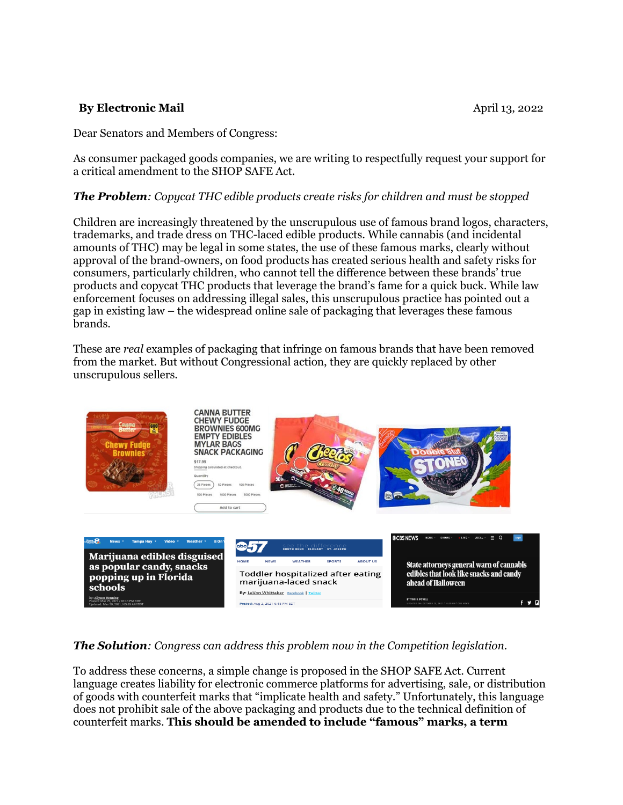### **By Electronic Mail April 13, 2022**

Dear Senators and Members of Congress:

As consumer packaged goods companies, we are writing to respectfully request your support for a critical amendment to the SHOP SAFE Act.

#### *The Problem: Copycat THC edible products create risks for children and must be stopped*

Children are increasingly threatened by the unscrupulous use of famous brand logos, characters, trademarks, and trade dress on THC-laced edible products. While cannabis (and incidental amounts of THC) may be legal in some states, the use of these famous marks, clearly without approval of the brand-owners, on food products has created serious health and safety risks for consumers, particularly children, who cannot tell the difference between these brands' true products and copycat THC products that leverage the brand's fame for a quick buck. While law enforcement focuses on addressing illegal sales, this unscrupulous practice has pointed out a gap in existing law – the widespread online sale of packaging that leverages these famous brands.

These are *real* examples of packaging that infringe on famous brands that have been removed from the market. But without Congressional action, they are quickly replaced by other unscrupulous sellers.



### *The Solution: Congress can address this problem now in the Competition legislation.*

To address these concerns, a simple change is proposed in the SHOP SAFE Act. Current language creates liability for electronic commerce platforms for advertising, sale, or distribution of goods with counterfeit marks that "implicate health and safety." Unfortunately, this language does not prohibit sale of the above packaging and products due to the technical definition of counterfeit marks. **This should be amended to include "famous" marks, a term**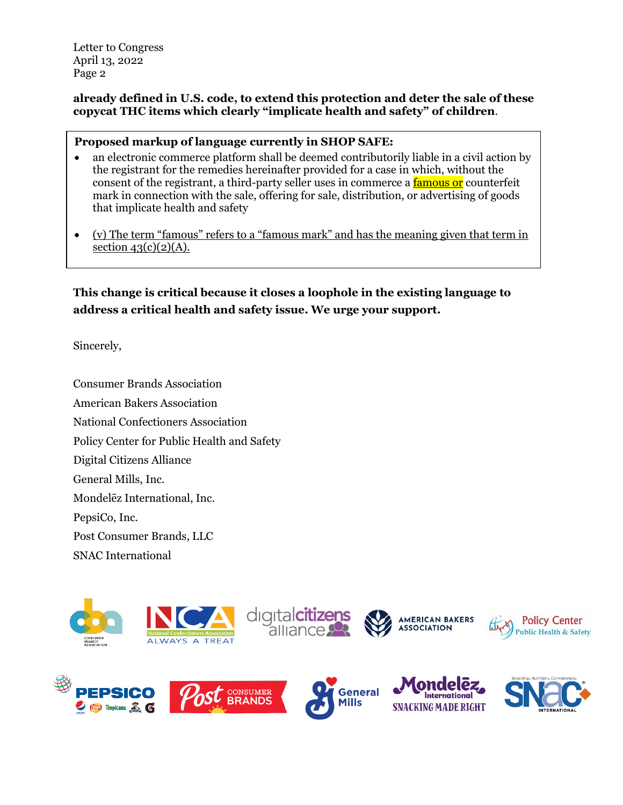Letter to Congress April 13, 2022 Page 2

### **already defined in U.S. code, to extend this protection and deter the sale of these copycat THC items which clearly "implicate health and safety" of children**.

#### **Proposed markup of language currently in SHOP SAFE:**

- an electronic commerce platform shall be deemed contributorily liable in a civil action by the registrant for the remedies hereinafter provided for a case in which, without the consent of the registrant, a third-party seller uses in commerce a famous or counterfeit mark in connection with the sale, offering for sale, distribution, or advertising of goods that implicate health and safety
- (v) The term "famous" refers to a "famous mark" and has the meaning given that term in section  $43(c)(2)(A)$ .

**This change is critical because it closes a loophole in the existing language to address a critical health and safety issue. We urge your support.**

Sincerely,

Consumer Brands Association American Bakers Association National Confectioners Association Policy Center for Public Health and Safety Digital Citizens Alliance General Mills, Inc. Mondelēz International, Inc. PepsiCo, Inc. Post Consumer Brands, LLC SNAC International